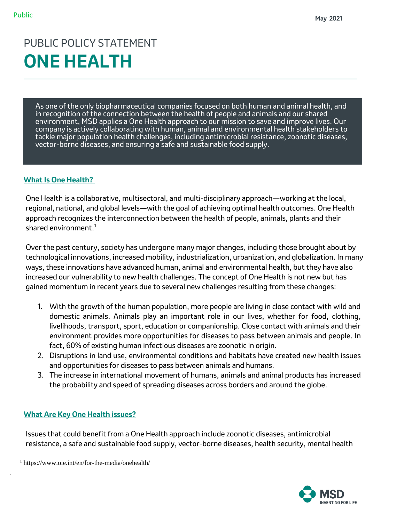# PUBLIC POLICY STATEMENT **ONE HEALTH**

As one of the only biopharmaceutical companies focused on both human and animal health, and in recognition of the connection between the health of people and animals and our shared environment, MSD applies a One Health approach to our mission to save and improve lives. Our company is actively collaborating with human, animal and environmental health stakeholders to tackle major population health challenges, including antimicrobial resistance, zoonotic diseases, vector-borne diseases, and ensuring a safe and sustainable food supply.

# **What Is One Health?**

One Health is a collaborative, multisectoral, and multi-disciplinary approach—working at the local, regional, national, and global levels—with the goal of achieving optimal health outcomes. One Health approach recognizes the interconnection between the health of people, animals, plants and their shared environment. $1$ 

Over the past century, society has undergone many major changes, including those brought about by technological innovations, increased mobility, industrialization, urbanization, and globalization. In many ways, these innovations have advanced human, animal and environmental health, but they have also increased our vulnerability to new health challenges. The concept of One Health is not new but has gained momentum in recent years due to several new challenges resulting from these changes:

- 1. With the growth of the human population, more people are living in close contact with wild and domestic animals. Animals play an important role in our lives, whether for food, clothing, livelihoods, transport, sport, education or companionship. Close contact with animals and their environment provides more opportunities for diseases to pass between animals and people. In fact, 60% of existing human infectious diseases are zoonotic in origin.
- 2. Disruptions in land use, environmental conditions and habitats have created new health issues and opportunities for diseases to pass between animals and humans.
- 3. The increase in international movement of humans, animals and animal products has increased the probability and speed of spreading diseases across borders and around the globe.

# **What Are Key One Health issues?**

Issues that could benefit from a One Health approach include zoonotic diseases, antimicrobial resistance, a safe and sustainable food supply, vector-borne diseases, health security, mental health



<sup>1</sup> https://www.oie.int/en/for-the-media/onehealth/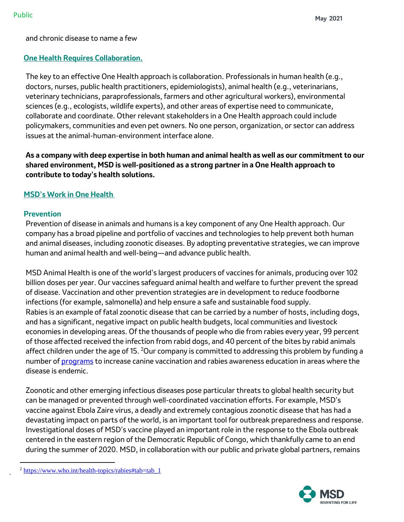and chronic disease to name a few

# **One Health Requires Collaboration.**

The key to an effective One Health approach is collaboration. Professionals in human health (e.g., doctors, nurses, public health practitioners, epidemiologists), animal health (e.g., veterinarians, veterinary technicians, paraprofessionals, farmers and other agricultural workers), environmental sciences (e.g., ecologists, wildlife experts), and other areas of expertise need to communicate, collaborate and coordinate. Other relevant stakeholders in a One Health approach could include policymakers, communities and even pet owners. No one person, organization, or sector can address issues at the animal-human-environment interface alone.

**As a company with deep expertise in both human and animal health as well as our commitment to our shared environment, MSD is well-positioned as a strong partner in a One Health approach to contribute to today's health solutions.** 

# **MSD's Work in One Health**

#### **Prevention**

Prevention of disease in animals and humans is a key component of any One Health approach. Our company has a broad pipeline and portfolio of vaccines and technologies to help prevent both human and animal diseases, including zoonotic diseases. By adopting preventative strategies, we can improve human and animal health and well-being—and advance public health.

MSD Animal Health is one of the world's largest producers of vaccines for animals, producing over 102 billion doses per year. Our vaccines safeguard animal health and welfare to further prevent the spread of disease. Vaccination and other prevention strategies are in development to reduce foodborne infections (for example, salmonella) and help ensure a safe and sustainable food supply. Rabies is an example of fatal zoonotic disease that can be carried by a number of hosts, including dogs, and has a significant, negative impact on public health budgets, local communities and livestock economies in developing areas. Of the thousands of people who die from rabies every year, 99 percent of those affected received the infection from rabid dogs, and 40 percent of the bites by rabid animals affect children under the age of 15.  $20$ ur company is committed to addressing this problem by funding a number of [programs](https://www.msd-animal-health.com/2020/09/28/msd-animal-health-supports-rabies-elimination-by-2030-on-world-rabies-day/) to increase canine vaccination and rabies awareness education in areas where the disease is endemic.

Zoonotic and other emerging infectious diseases pose particular threats to global health security but can be managed or prevented through well-coordinated vaccination efforts. For example, MSD's vaccine against Ebola Zaire virus, a deadly and extremely contagious zoonotic disease that has had a devastating impact on parts of the world, is an important tool for outbreak preparedness and response. Investigational doses of MSD's vaccine played an important role in the response to the Ebola outbreak centered in the eastern region of the Democratic Republic of Congo, which thankfully came to an end during the summer of 2020. MSD, in collaboration with our public and private global partners, remains



<sup>&</sup>lt;sup>2</sup> [https://www.who.int/health-topics/rabies#tab=tab\\_1](https://www.who.int/health-topics/rabies#tab=tab_1)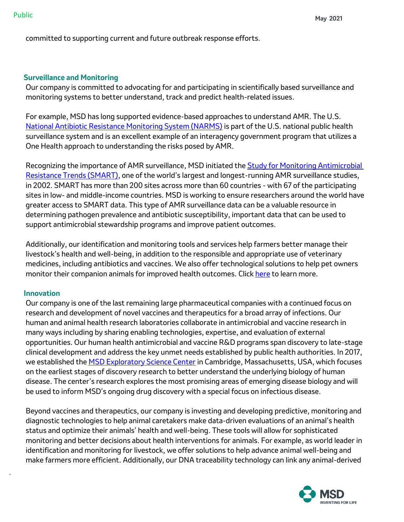committed to supporting current and future outbreak response efforts.

#### **Surveillance and Monitoring**

Our company is committed to advocating for and participating in scientifically based surveillance and monitoring systems to better understand, track and predict health-related issues.

For example, MSD has long supported evidence-based approaches to understand AMR. The U.S. [National Antibiotic Resistance Monitoring System \(NARMS\)](https://www.cdc.gov/narms/index.html) is part of the U.S. national public health surveillance system and is an excellent example of an interagency government program that utilizes a One Health approach to understanding the risks posed by AMR.

Recognizing the importance of AMR surveillance, MSD initiated the **Study for Monitoring Antimicrobial** [Resistance Trends \(SMART\)](http://www.globalsmartsite.com/), one of the world's largest and longest-running AMR surveillance studies, in 2002. SMART has more than 200 sites across more than 60 countries - with 67 of the participating sites in low- and middle-income countries. MSD is working to ensure researchers around the world have greater access to SMART data. This type of AMR surveillance data can be a valuable resource in determining pathogen prevalence and antibiotic susceptibility, important data that can be used to support antimicrobial stewardship programs and improve patient outcomes.

Additionally, our identification and monitoring tools and services help farmers better manage their livestock's health and well-being, in addition to the responsible and appropriate use of veterinary medicines, including antibiotics and vaccines. We also offer technological solutions to help pet owners monitor their companion animals for improved health outcomes. Click [here](https://www.msd-animal-health.com/animal-health-intelligence/) to learn more.

#### **Innovation**

Our company is one of the last remaining large pharmaceutical companies with a continued focus on research and development of novel vaccines and therapeutics for a broad array of infections. Our human and animal health research laboratories collaborate in antimicrobial and vaccine research in many ways including by sharing enabling technologies, expertise, and evaluation of external opportunities. Our human health antimicrobial and vaccine R&D programs span discovery to late-stage clinical development and address the key unmet needs established by public health authorities. In 2017, we established the [MSD Exploratory Science Center](https://www.nature.com/articles/d41573-019-00091-y) in Cambridge, Massachusetts, USA, which focuses on the earliest stages of discovery research to better understand the underlying biology of human disease. The center's research explores the most promising areas of emerging disease biology and will be used to inform MSD's ongoing drug discovery with a special focus on infectious disease.

Beyond vaccines and therapeutics, our company is investing and developing predictive, monitoring and diagnostic technologies to help animal caretakers make data-driven evaluations of an animal's health status and optimize their animals' health and well-being. These tools will allow for sophisticated monitoring and better decisions about health interventions for animals. For example, as world leader in identification and monitoring for livestock, we offer solutions to help advance animal well-being and make farmers more efficient. Additionally, our DNA traceability technology can link any animal-derived

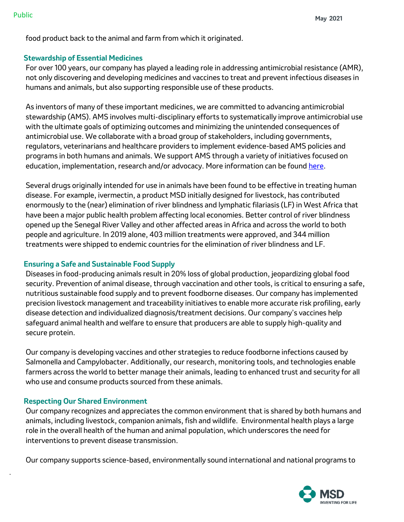food product back to the animal and farm from which it originated.

#### **Stewardship of Essential Medicines**

For over 100 years, our company has played a leading role in addressing antimicrobial resistance (AMR), not only discovering and developing medicines and vaccines to treat and prevent infectious diseases in humans and animals, but also supporting responsible use of these products.

As inventors of many of these important medicines, we are committed to advancing antimicrobial stewardship (AMS). AMS involves multi-disciplinary efforts to systematically improve antimicrobial use with the ultimate goals of optimizing outcomes and minimizing the unintended consequences of antimicrobial use. We collaborate with a broad group of stakeholders, including governments, regulators, veterinarians and healthcare providers to implement evidence-based AMS policies and programs in both humans and animals. We support AMS through a variety of initiatives focused on education, implementation, research and/or advocacy. More information can be found [here.](https://www.merck.com/wp-content/uploads/sites/5/2020/08/Global-Antimicrobial-Resistance-Action-Plan.pdf#page=9)

Several drugs originally intended for use in animals have been found to be effective in treating human disease. For example, ivermectin, a product MSD initially designed for livestock, has contributed enormously to th[e \(near\) elimination of river blindness and lymphatic filariasis \(LF\)](https://www.msdresponsibility.com/access-to-health/affordability/mectizan-donation-program/) in West Africa that have been a major public health problem affecting local economies. Better control of river blindness opened up the Senegal River Valley and other affected areas in Africa and across the world to both people and agriculture. In 2019 alone, 403 million treatments were approved, and 344 million treatments were shipped to endemic countries for the elimination of river blindness and LF.

# **Ensuring a Safe and Sustainable Food Supply**

Diseases in food-producing animals result in 20% loss of global production, jeopardizing global food security. Prevention of animal disease, through vaccination and other tools, is critical to ensuring a safe, nutritious sustainable food supply and to prevent foodborne diseases. Our company has implemented precision livestock management and traceability initiatives to enable more accurate risk profiling, early disease detection and individualized diagnosis/treatment decisions. Our company's vaccines help safeguard animal health and welfare to ensure that producers are able to supply high-quality and secure protein.

Our company is developing vaccines and other strategies to reduce foodborne infections caused by Salmonella and Campylobacter. Additionally, our research, monitoring tools, and technologies enable farmers across the world to better manage their animals, leading to enhanced trust and security for all who use and consume products sourced from these animals.

# **Respecting Our Shared Environment**

Our company recognizes and appreciates the common environment that is shared by both humans and animals, including livestock, companion animals, fish and wildlife. Environmental health plays a large role in the overall health of the human and animal population, which underscores the need for interventions to prevent disease transmission.

Our company supports science-based, environmentally sound international and national programs to